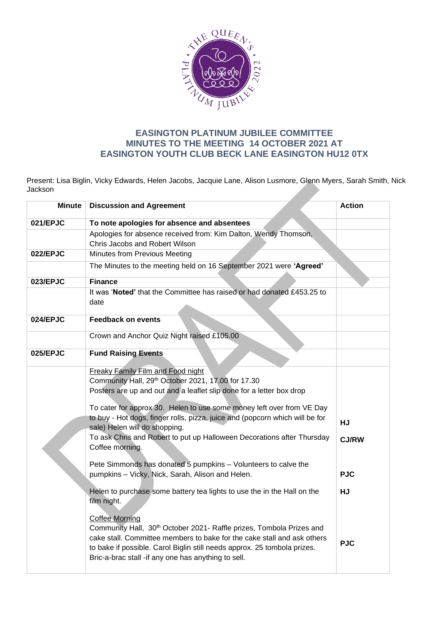

## **EASINGTON PLATINUM JUBILEE COMMITTEE MINUTES TO THE MEETING 14 OCTOBER 2021 AT EASINGTON YOUTH CLUB BECK LANE EASINGTON HU12 0TX**

Present: Lisa Biglin, Vicky Edwards, Helen Jacobs, Jacquie Lane, Alison Lusmore, Glenn Myers, Sarah Smith, Nick Jackson

| <b>Minute</b> | <b>Discussion and Agreement</b>                                                                                                                                                                                                                                                                             | <b>Action</b> |
|---------------|-------------------------------------------------------------------------------------------------------------------------------------------------------------------------------------------------------------------------------------------------------------------------------------------------------------|---------------|
| 021/EPJC      | To note apologies for absence and absentees                                                                                                                                                                                                                                                                 |               |
|               | Apologies for absence received from: Kim Dalton, Wendy Thomson,                                                                                                                                                                                                                                             |               |
|               | Chris Jacobs and Robert Wilson                                                                                                                                                                                                                                                                              |               |
| 022/EPJC      | Minutes from Previous Meeting                                                                                                                                                                                                                                                                               |               |
|               | The Minutes to the meeting held on 16 September 2021 were 'Agreed'                                                                                                                                                                                                                                          |               |
| 023/EPJC      | <b>Finance</b>                                                                                                                                                                                                                                                                                              |               |
|               | It was 'Noted' that the Committee has raised or had donated £453.25 to<br>date                                                                                                                                                                                                                              |               |
| 024/EPJC      | <b>Feedback on events</b>                                                                                                                                                                                                                                                                                   |               |
|               | Crown and Anchor Quiz Night raised £105.00                                                                                                                                                                                                                                                                  |               |
| 025/EPJC      | <b>Fund Raising Events</b>                                                                                                                                                                                                                                                                                  |               |
|               | <b>Freaky Family Film and Food night</b><br>Community Hall, 29th October 2021, 17.00 for 17.30<br>Posters are up and out and a leaflet slip done for a letter box drop<br>To cater for approx 30. Helen to use some money left over from VE Day                                                             |               |
|               | to buy - Hot dogs, finger rolls, pizza, juice and (popcorn which will be for<br>sale) Helen will do shopping.                                                                                                                                                                                               | <b>HJ</b>     |
|               | To ask Chris and Robert to put up Halloween Decorations after Thursday<br>Coffee morning.                                                                                                                                                                                                                   | <b>CJ/RW</b>  |
|               | Pete Simmonds has donated 5 pumpkins - Volunteers to calve the<br>pumpkins - Vicky, Nick, Sarah, Alison and Helen.                                                                                                                                                                                          | <b>PJC</b>    |
|               | Helen to purchase some battery tea lights to use the in the Hall on the<br>film night.                                                                                                                                                                                                                      | <b>HJ</b>     |
|               | <b>Coffee Morning</b><br>Community Hall, 30th October 2021- Raffle prizes, Tombola Prizes and<br>cake stall. Committee members to bake for the cake stall and ask others<br>to bake if possible. Carol Biglin still needs approx. 25 tombola prizes.<br>Bric-a-brac stall -if any one has anything to sell. | <b>PJC</b>    |